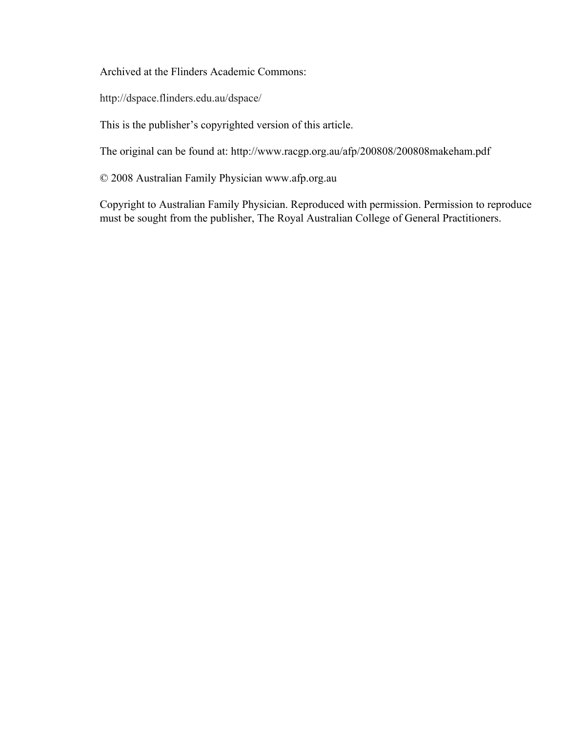Archived at the Flinders Academic Commons:

http://dspace.flinders.edu.au/dspace/

This is the publisher's copyrighted version of this article.

The original can be found at: http://www.racgp.org.au/afp/200808/200808makeham.pdf

© 2008 Australian Family Physician www.afp.org.au

Copyright to Australian Family Physician. Reproduced with permission. Permission to reproduce must be sought from the publisher, The Royal Australian College of General Practitioners.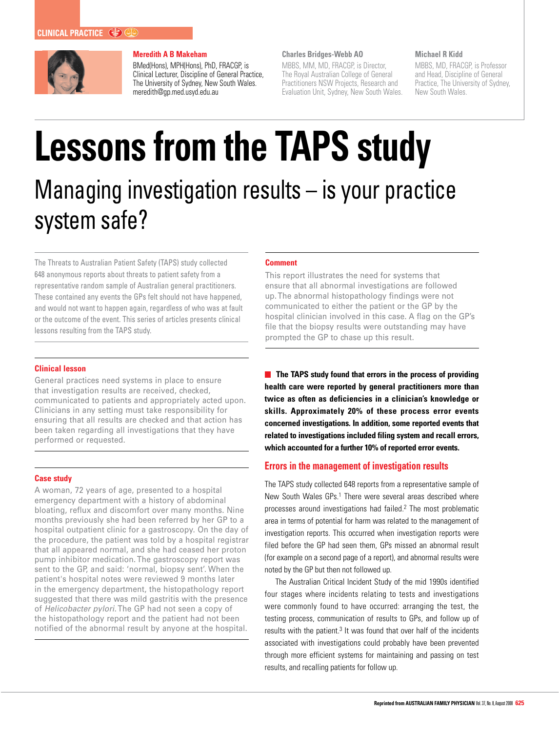

## **Meredith A B Makeham**

BMed(Hons), MPH(Hons), PhD, FRACGP, is Clinical Lecturer, Discipline of General Practice, The University of Sydney, New South Wales. meredith@gp.med.usyd.edu.au

#### **Charles Bridges-Webb AO**

MBBS, MM, MD, FRACGP, is Director, The Royal Australian College of General Practitioners NSW Projects, Research and Evaluation Unit, Sydney, New South Wales.

#### **Michael R Kidd**

MBBS, MD, FRACGP, is Professor and Head, Discipline of General Practice, The University of Sydney, New South Wales.

# **Lessons from the TAPS study** Managing investigation results – is your practice system safe?

The Threats to Australian Patient Safety (TAPS) study collected 648 anonymous reports about threats to patient safety from a representative random sample of Australian general practitioners. These contained any events the GPs felt should not have happened, and would not want to happen again, regardless of who was at fault or the outcome of the event. This series of articles presents clinical lessons resulting from the TAPS study.

### **Clinical lesson**

General practices need systems in place to ensure that investigation results are received, checked, communicated to patients and appropriately acted upon. Clinicians in any setting must take responsibility for ensuring that all results are checked and that action has been taken regarding all investigations that they have performed or requested.

### **Case study**

A woman, 72 years of age, presented to a hospital emergency department with a history of abdominal bloating, reflux and discomfort over many months. Nine months previously she had been referred by her GP to a hospital outpatient clinic for a gastroscopy. On the day of the procedure, the patient was told by a hospital registrar that all appeared normal, and she had ceased her proton pump inhibitor medication. The gastroscopy report was sent to the GP, and said: 'normal, biopsy sent'. When the patient's hospital notes were reviewed 9 months later in the emergency department, the histopathology report suggested that there was mild gastritis with the presence of Helicobacter pylori. The GP had not seen a copy of the histopathology report and the patient had not been notified of the abnormal result by anyone at the hospital.

#### **Comment**

This report illustrates the need for systems that ensure that all abnormal investigations are followed up. The abnormal histopathology findings were not communicated to either the patient or the GP by the hospital clinician involved in this case. A flag on the GP's file that the biopsy results were outstanding may have prompted the GP to chase up this result.

**The TAPS study found that errors in the process of providing health care were reported by general practitioners more than twice as often as deficiencies in a clinician's knowledge or skills. Approximately 20% of these process error events concerned investigations. In addition, some reported events that related to investigations included filing system and recall errors, which accounted for a further 10% of reported error events.**

## **Errors in the management of investigation results**

The TAPS study collected 648 reports from a representative sample of New South Wales GPs.<sup>1</sup> There were several areas described where processes around investigations had failed.2 The most problematic area in terms of potential for harm was related to the management of investigation reports. This occurred when investigation reports were filed before the GP had seen them, GPs missed an abnormal result (for example on a second page of a report), and abnormal results were noted by the GP but then not followed up.

The Australian Critical Incident Study of the mid 1990s identified four stages where incidents relating to tests and investigations were commonly found to have occurred: arranging the test, the testing process, communication of results to GPs, and follow up of results with the patient. $3$  It was found that over half of the incidents associated with investigations could probably have been prevented through more efficient systems for maintaining and passing on test results, and recalling patients for follow up.